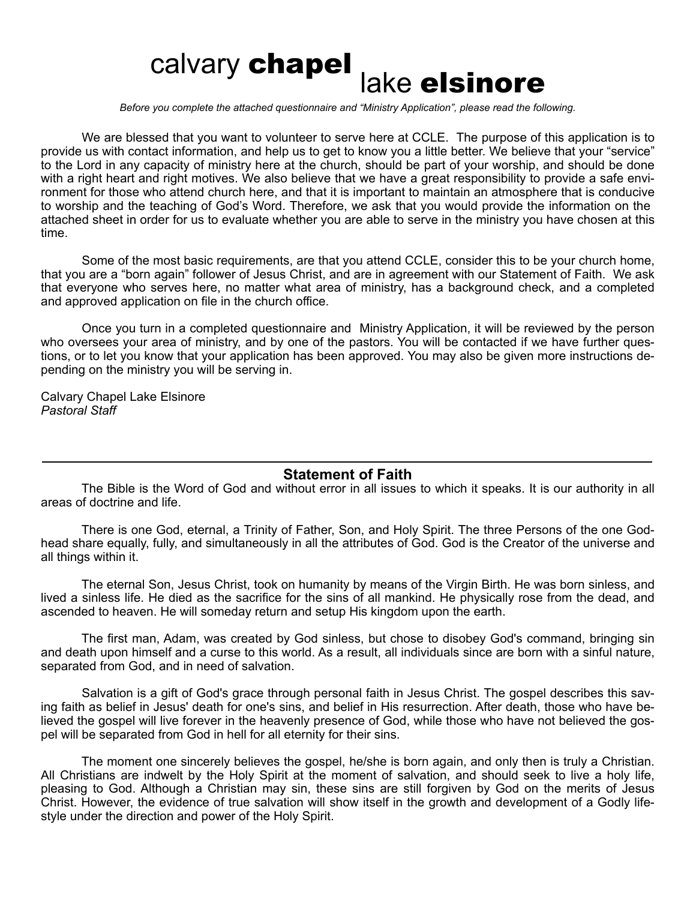## calvary chapel lake elsinore

*Before you complete the attached questionnaire and "Ministry Application", please read the following.*

We are blessed that you want to volunteer to serve here at CCLE. The purpose of this application is to provide us with contact information, and help us to get to know you a little better. We believe that your "service" to the Lord in any capacity of ministry here at the church, should be part of your worship, and should be done with a right heart and right motives. We also believe that we have a great responsibility to provide a safe environment for those who attend church here, and that it is important to maintain an atmosphere that is conducive to worship and the teaching of God's Word. Therefore, we ask that you would provide the information on the attached sheet in order for us to evaluate whether you are able to serve in the ministry you have chosen at this time.

 Some of the most basic requirements, are that you attend CCLE, consider this to be your church home, that you are a "born again" follower of Jesus Christ, and are in agreement with our Statement of Faith. We ask that everyone who serves here, no matter what area of ministry, has a background check, and a completed and approved application on file in the church office.

 Once you turn in a completed questionnaire and Ministry Application, it will be reviewed by the person who oversees your area of ministry, and by one of the pastors. You will be contacted if we have further questions, or to let you know that your application has been approved. You may also be given more instructions depending on the ministry you will be serving in.

Calvary Chapel Lake Elsinore *Pastoral Staff*

## **Statement of Faith**

 The Bible is the Word of God and without error in all issues to which it speaks. It is our authority in all areas of doctrine and life.

 There is one God, eternal, a Trinity of Father, Son, and Holy Spirit. The three Persons of the one Godhead share equally, fully, and simultaneously in all the attributes of God. God is the Creator of the universe and all things within it.

 The eternal Son, Jesus Christ, took on humanity by means of the Virgin Birth. He was born sinless, and lived a sinless life. He died as the sacrifice for the sins of all mankind. He physically rose from the dead, and ascended to heaven. He will someday return and setup His kingdom upon the earth.

 The first man, Adam, was created by God sinless, but chose to disobey God's command, bringing sin and death upon himself and a curse to this world. As a result, all individuals since are born with a sinful nature, separated from God, and in need of salvation.

 Salvation is a gift of God's grace through personal faith in Jesus Christ. The gospel describes this saving faith as belief in Jesus' death for one's sins, and belief in His resurrection. After death, those who have believed the gospel will live forever in the heavenly presence of God, while those who have not believed the gospel will be separated from God in hell for all eternity for their sins.

 The moment one sincerely believes the gospel, he/she is born again, and only then is truly a Christian. All Christians are indwelt by the Holy Spirit at the moment of salvation, and should seek to live a holy life, pleasing to God. Although a Christian may sin, these sins are still forgiven by God on the merits of Jesus Christ. However, the evidence of true salvation will show itself in the growth and development of a Godly lifestyle under the direction and power of the Holy Spirit.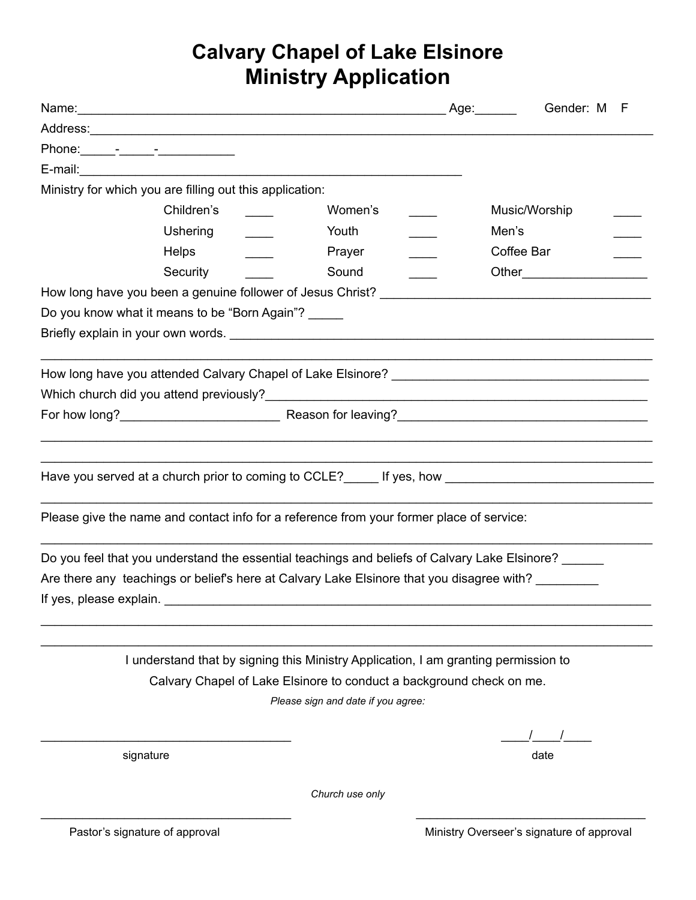## **Calvary Chapel of Lake Elsinore Ministry Application**

|                         |                                                          |                                                                                                     |            | Gender: M F                    |
|-------------------------|----------------------------------------------------------|-----------------------------------------------------------------------------------------------------|------------|--------------------------------|
|                         |                                                          |                                                                                                     |            |                                |
|                         |                                                          |                                                                                                     |            |                                |
|                         |                                                          |                                                                                                     |            |                                |
|                         | Ministry for which you are filling out this application: |                                                                                                     |            |                                |
|                         | Children's                                               | Women's                                                                                             |            | Music/Worship                  |
|                         | <b>Ushering</b>                                          | Youth                                                                                               | Men's      |                                |
|                         | <b>Helps</b>                                             | Prayer                                                                                              | Coffee Bar |                                |
|                         | Security                                                 | Sound                                                                                               |            | Other_________________________ |
|                         |                                                          |                                                                                                     |            |                                |
|                         | Do you know what it means to be "Born Again"? _____      |                                                                                                     |            |                                |
|                         |                                                          |                                                                                                     |            |                                |
|                         |                                                          |                                                                                                     |            |                                |
|                         |                                                          |                                                                                                     |            |                                |
|                         |                                                          |                                                                                                     |            |                                |
|                         |                                                          |                                                                                                     |            |                                |
|                         |                                                          |                                                                                                     |            |                                |
|                         |                                                          |                                                                                                     |            |                                |
|                         |                                                          |                                                                                                     |            |                                |
|                         |                                                          |                                                                                                     |            |                                |
|                         |                                                          | Please give the name and contact info for a reference from your former place of service:            |            |                                |
|                         |                                                          |                                                                                                     |            |                                |
|                         |                                                          | Do you feel that you understand the essential teachings and beliefs of Calvary Lake Elsinore? _____ |            |                                |
|                         |                                                          | Are there any teachings or belief's here at Calvary Lake Elsinore that you disagree with? _________ |            |                                |
| If ves. please explain. |                                                          |                                                                                                     |            |                                |
|                         |                                                          |                                                                                                     |            |                                |
|                         |                                                          |                                                                                                     |            |                                |
|                         |                                                          | I understand that by signing this Ministry Application, I am granting permission to                 |            |                                |
|                         |                                                          | Calvary Chapel of Lake Elsinore to conduct a background check on me.                                |            |                                |
|                         |                                                          | Please sign and date if you agree:                                                                  |            |                                |
|                         |                                                          |                                                                                                     |            |                                |
|                         |                                                          |                                                                                                     |            |                                |
|                         | signature                                                |                                                                                                     |            | date                           |

*Church use only*  $\overline{\phantom{a}}$  , and the contribution of the contribution of the contribution of the contribution of the contribution of the contribution of the contribution of the contribution of the contribution of the contribution of the